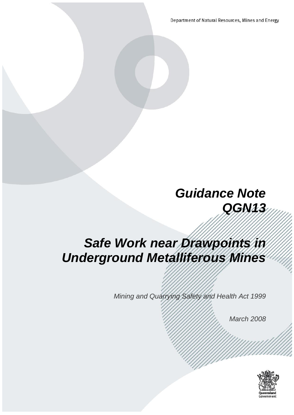Department of Natural Resources, Mines and Energy

# *Guidance Note QGN13*

# *Safe Work near Drawpoints in Underground Metalliferous Mines*

*Mining and Quarrying Safety and Health Act 1999*

*March 2008* 

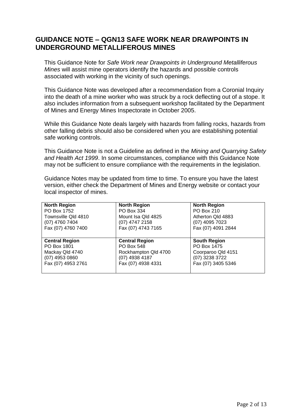#### **GUIDANCE NOTE – QGN13 SAFE WORK NEAR DRAWPOINTS IN UNDERGROUND METALLIFEROUS MINES**

This Guidance Note for *Safe Work near Drawpoints in Underground Metalliferous Mines* will assist mine operators identify the hazards and possible controls associated with working in the vicinity of such openings.

This Guidance Note was developed after a recommendation from a Coronial Inquiry into the death of a mine worker who was struck by a rock deflecting out of a stope. It also includes information from a subsequent workshop facilitated by the Department of Mines and Energy Mines Inspectorate in October 2005.

While this Guidance Note deals largely with hazards from falling rocks, hazards from other falling debris should also be considered when you are establishing potential safe working controls.

This Guidance Note is not a Guideline as defined in the *Mining and Quarrying Safety and Health Act 1999*. In some circumstances, compliance with this Guidance Note may not be sufficient to ensure compliance with the requirements in the legislation.

Guidance Notes may be updated from time to time. To ensure you have the latest version, either check the Department of Mines and Energy website or contact your local inspector of mines.

| <b>North Region</b>   | <b>North Region</b>   | <b>North Region</b> |
|-----------------------|-----------------------|---------------------|
| PO Box 1752           | PO Box 334            | PO Box 210          |
| Townsville Qld 4810   | Mount Isa Qld 4825    | Atherton Qld 4883   |
| (07) 4760 7404        | $(07)$ 4747 2158      | (07) 4095 7023      |
| Fax (07) 4760 7400    | Fax (07) 4743 7165    | Fax (07) 4091 2844  |
|                       |                       |                     |
|                       |                       |                     |
| <b>Central Region</b> | <b>Central Region</b> | <b>South Region</b> |
| PO Box 1801           | PO Box 548            | PO Box 1475         |
| Mackay Qld 4740       | Rockhampton Qld 4700  | Coorparoo Qld 4151  |
| $(07)$ 4953 0860      | $(07)$ 4938 4187      | (07) 3238 3722      |
| Fax (07) 4953 2761    | Fax (07) 4938 4331    | Fax (07) 3405 5346  |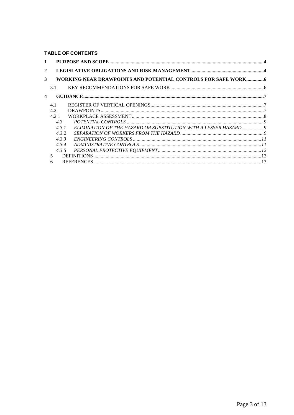TABLE OF CONTENTS

| WORKING NEAR DRAWPOINTS AND POTENTIAL CONTROLS FOR SAFE WORK 6    |
|-------------------------------------------------------------------|
|                                                                   |
|                                                                   |
|                                                                   |
|                                                                   |
|                                                                   |
|                                                                   |
| ELIMINATION OF THE HAZARD OR SUBSTITUTION WITH A LESSER HAZARD  9 |
|                                                                   |
|                                                                   |
|                                                                   |
|                                                                   |
|                                                                   |
|                                                                   |
|                                                                   |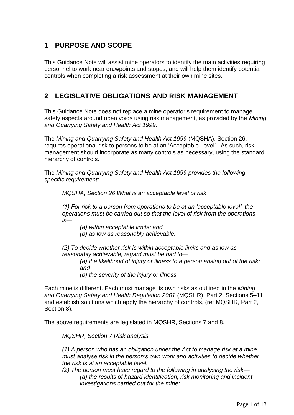# <span id="page-3-0"></span>**1 PURPOSE AND SCOPE**

This Guidance Note will assist mine operators to identify the main activities requiring personnel to work near drawpoints and stopes, and will help them identify potential controls when completing a risk assessment at their own mine sites.

# <span id="page-3-1"></span>**2 LEGISLATIVE OBLIGATIONS AND RISK MANAGEMENT**

This Guidance Note does not replace a mine operator's requirement to manage safety aspects around open voids using risk management, as provided by the *Mining and Quarrying Safety and Health Act 1999*.

The *Mining and Quarrying Safety and Health Act 1999* (MQSHA), Section 26, requires operational risk to persons to be at an 'Acceptable Level'. As such, risk management should incorporate as many controls as necessary, using the standard hierarchy of controls.

The *Mining and Quarrying Safety and Health Act 1999 provides the following specific requirement:*

*MQSHA, Section 26 What is an acceptable level of risk*

*(1) For risk to a person from operations to be at an 'acceptable level', the operations must be carried out so that the level of risk from the operations is—*

*(a) within acceptable limits; and*

*(b) as low as reasonably achievable.*

*(2) To decide whether risk is within acceptable limits and as low as reasonably achievable, regard must be had to—*

*(a) the likelihood of injury or illness to a person arising out of the risk; and*

*(b) the severity of the injury or illness.*

Each mine is different. Each must manage its own risks as outlined in the *Mining and Quarrying Safety and Health Regulation 2001* (MQSHR), Part 2, Sections 5–11, and establish solutions which apply the hierarchy of controls, (ref MQSHR, Part 2, Section 8).

The above requirements are legislated in MQSHR, Sections 7 and 8.

*MQSHR, Section 7 Risk analysis*

*(1) A person who has an obligation under the Act to manage risk at a mine must analyse risk in the person's own work and activities to decide whether the risk is at an acceptable level.*

*(2) The person must have regard to the following in analysing the risk— (a) the results of hazard identification, risk monitoring and incident investigations carried out for the mine;*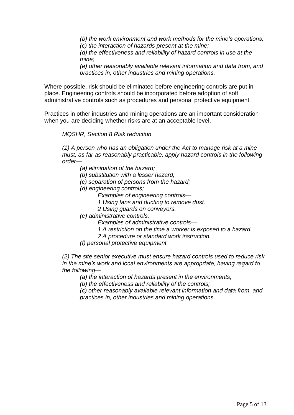*(b) the work environment and work methods for the mine's operations; (c) the interaction of hazards present at the mine;*

*(d) the effectiveness and reliability of hazard controls in use at the mine;*

*(e) other reasonably available relevant information and data from, and practices in, other industries and mining operations.*

Where possible, risk should be eliminated before engineering controls are put in place. Engineering controls should be incorporated before adoption of soft administrative controls such as procedures and personal protective equipment.

Practices in other industries and mining operations are an important consideration when you are deciding whether risks are at an acceptable level.

*MQSHR, Section 8 Risk reduction*

*(1) A person who has an obligation under the Act to manage risk at a mine must, as far as reasonably practicable, apply hazard controls in the following order—*

- *(a) elimination of the hazard;*
- *(b) substitution with a lesser hazard;*
- *(c) separation of persons from the hazard;*
- *(d) engineering controls;*
	- *Examples of engineering controls—*
	- *1 Using fans and ducting to remove dust.*
	- *2 Using guards on conveyors.*
- *(e) administrative controls;*
	- *Examples of administrative controls—*
	- *1 A restriction on the time a worker is exposed to a hazard.*
	- *2 A procedure or standard work instruction.*
- *(f) personal protective equipment.*

*(2) The site senior executive must ensure hazard controls used to reduce risk in the mine's work and local environments are appropriate, having regard to the following—*

*(a) the interaction of hazards present in the environments;*

*(b) the effectiveness and reliability of the controls;*

*(c) other reasonably available relevant information and data from, and practices in, other industries and mining operations.*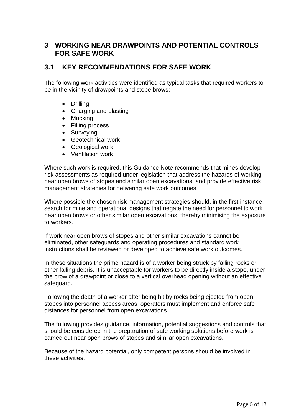## <span id="page-5-0"></span>**3 WORKING NEAR DRAWPOINTS AND POTENTIAL CONTROLS FOR SAFE WORK**

# <span id="page-5-1"></span>**3.1 KEY RECOMMENDATIONS FOR SAFE WORK**

The following work activities were identified as typical tasks that required workers to be in the vicinity of drawpoints and stope brows:

- Drilling
- Charging and blasting
- Mucking
- Filling process
- Surveying
- Geotechnical work
- Geological work
- Ventilation work

Where such work is required, this Guidance Note recommends that mines develop risk assessments as required under legislation that address the hazards of working near open brows of stopes and similar open excavations, and provide effective risk management strategies for delivering safe work outcomes.

Where possible the chosen risk management strategies should, in the first instance, search for mine and operational designs that negate the need for personnel to work near open brows or other similar open excavations, thereby minimising the exposure to workers.

If work near open brows of stopes and other similar excavations cannot be eliminated, other safeguards and operating procedures and standard work instructions shall be reviewed or developed to achieve safe work outcomes.

In these situations the prime hazard is of a worker being struck by falling rocks or other falling debris. It is unacceptable for workers to be directly inside a stope, under the brow of a drawpoint or close to a vertical overhead opening without an effective safeguard.

Following the death of a worker after being hit by rocks being ejected from open stopes into personnel access areas, operators must implement and enforce safe distances for personnel from open excavations.

The following provides guidance, information, potential suggestions and controls that should be considered in the preparation of safe working solutions before work is carried out near open brows of stopes and similar open excavations.

Because of the hazard potential, only competent persons should be involved in these activities.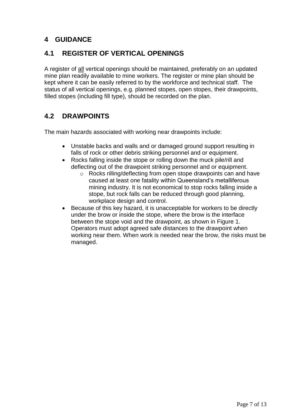# <span id="page-6-0"></span>**4 GUIDANCE**

### <span id="page-6-1"></span>**4.1 REGISTER OF VERTICAL OPENINGS**

A register of all vertical openings should be maintained, preferably on an updated mine plan readily available to mine workers. The register or mine plan should be kept where it can be easily referred to by the workforce and technical staff. The status of all vertical openings, e.g. planned stopes, open stopes, their drawpoints, filled stopes (including fill type), should be recorded on the plan.

# <span id="page-6-2"></span>**4.2 DRAWPOINTS**

The main hazards associated with working near drawpoints include:

- Unstable backs and walls and or damaged ground support resulting in falls of rock or other debris striking personnel and or equipment.
- Rocks falling inside the stope or rolling down the muck pile/rill and deflecting out of the drawpoint striking personnel and or equipment.
	- o Rocks rilling/deflecting from open stope drawpoints can and have caused at least one fatality within Queensland's metalliferous mining industry. It is not economical to stop rocks falling inside a stope, but rock falls can be reduced through good planning, workplace design and control.
- Because of this key hazard, it is unacceptable for workers to be directly under the brow or inside the stope, where the brow is the interface between the stope void and the drawpoint, as shown in Figure 1. Operators must adopt agreed safe distances to the drawpoint when working near them. When work is needed near the brow, the risks must be managed.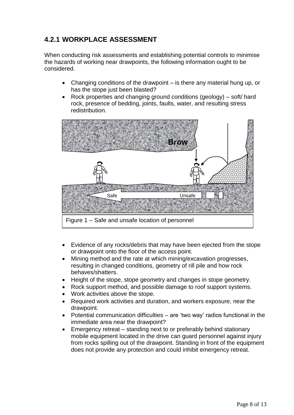# <span id="page-7-0"></span>**4.2.1 WORKPLACE ASSESSMENT**

When conducting risk assessments and establishing potential controls to minimise the hazards of working near drawpoints, the following information ought to be considered.

- Changing conditions of the drawpoint is there any material hung up, or has the stope just been blasted?
- Rock properties and changing ground conditions (geology) soft/ hard rock, presence of bedding, joints, faults, water, and resulting stress redistribution.



- Evidence of any rocks/debris that may have been ejected from the stope or drawpoint onto the floor of the access point.
- Mining method and the rate at which mining/excavation progresses, resulting in changed conditions, geometry of rill pile and how rock behaves/shatters.
- Height of the stope, stope geometry and changes in stope geometry.
- Rock support method, and possible damage to roof support systems.
- Work activities above the stope.
- Required work activities and duration, and workers exposure, near the drawpoint.
- Potential communication difficulties are 'two way' radios functional in the immediate area near the drawpoint?
- Emergency retreat standing next to or preferably behind stationary mobile equipment located in the drive can guard personnel against injury from rocks spilling out of the drawpoint. Standing in front of the equipment does not provide any protection and could inhibit emergency retreat.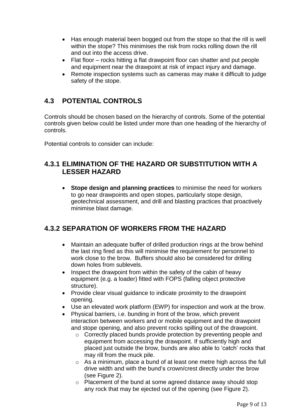- Has enough material been bogged out from the stope so that the rill is well within the stope? This minimises the risk from rocks rolling down the rill and out into the access drive.
- Flat floor rocks hitting a flat drawpoint floor can shatter and put people and equipment near the drawpoint at risk of impact injury and damage.
- Remote inspection systems such as cameras may make it difficult to judge safety of the stope.

# <span id="page-8-0"></span>**4.3 POTENTIAL CONTROLS**

Controls should be chosen based on the hierarchy of controls. Some of the potential controls given below could be listed under more than one heading of the hierarchy of controls.

Potential controls to consider can include:

### <span id="page-8-1"></span>**4.3.1 ELIMINATION OF THE HAZARD OR SUBSTITUTION WITH A LESSER HAZARD**

 **Stope design and planning practices** to minimise the need for workers to go near drawpoints and open stopes, particularly stope design, geotechnical assessment, and drill and blasting practices that proactively minimise blast damage.

# <span id="page-8-2"></span>**4.3.2 SEPARATION OF WORKERS FROM THE HAZARD**

- Maintain an adequate buffer of drilled production rings at the brow behind the last ring fired as this will minimise the requirement for personnel to work close to the brow. Buffers should also be considered for drilling down holes from sublevels.
- Inspect the drawpoint from within the safety of the cabin of heavy equipment (e.g. a loader) fitted with FOPS (falling object protective structure).
- Provide clear visual guidance to indicate proximity to the drawpoint opening.
- Use an elevated work platform (EWP) for inspection and work at the brow.
- Physical barriers, i.e. bunding in front of the brow, which prevent interaction between workers and or mobile equipment and the drawpoint and stope opening, and also prevent rocks spilling out of the drawpoint.
	- o Correctly placed bunds provide protection by preventing people and equipment from accessing the drawpoint. If sufficiently high and placed just outside the brow, bunds are also able to 'catch' rocks that may rill from the muck pile.
	- o As a minimum, place a bund of at least one metre high across the full drive width and with the bund's crown/crest directly under the brow (see Figure 2).
	- o Placement of the bund at some agreed distance away should stop any rock that may be ejected out of the opening (see Figure 2).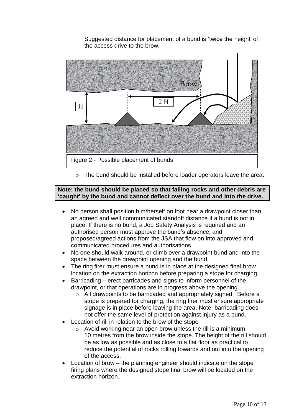Suggested distance for placement of a bund is 'twice the height' of the access drive to the brow.



o The bund should be installed before loader operators leave the area.

#### **Note: the bund should be placed so that falling rocks and other debris are 'caught' by the bund and cannot deflect over the bund and into the drive.**

- No person shall position him/herself on foot near a drawpoint closer than an agreed and well communicated standoff distance if a bund is not in place. If there is no bund, a Job Safety Analysis is required and an authorised person must approve the bund's absence, and proposed/agreed actions from the JSA that flow on into approved and communicated procedures and authorisations.
- No one should walk around, or climb over a drawpoint bund and into the space between the drawpoint opening and the bund.
- The ring firer must ensure a bund is in place at the designed final brow location on the extraction horizon before preparing a stope for charging.
- Barricading erect barricades and signs to inform personnel of the drawpoint, or that operations are in progress above the opening.
	- o All drawpoints to be barricaded and appropriately signed. Before a stope is prepared for charging, the ring firer must ensure appropriate signage is in place before leaving the area. Note: barricading does not offer the same level of protection against injury as a bund.
- Location of rill in relation to the brow of the stope
	- $\circ$  Avoid working near an open brow unless the rill is a minimum 10 metres from the brow inside the stope. The height of the rill should be as low as possible and as close to a flat floor as practical to reduce the potential of rocks rolling towards and out into the opening of the access.
- Location of brow the planning engineer should indicate on the stope firing plans where the designed stope final brow will be located on the extraction horizon.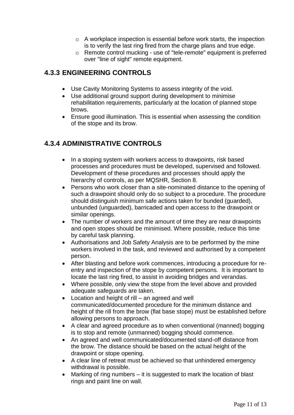- o A workplace inspection is essential before work starts, the inspection is to verify the last ring fired from the charge plans and true edge.
- o Remote control mucking use of "tele-remote" equipment is preferred over "line of sight" remote equipment.

# <span id="page-10-0"></span>**4.3.3 ENGINEERING CONTROLS**

- Use Cavity Monitoring Systems to assess integrity of the void.
- Use additional ground support during development to minimise rehabilitation requirements, particularly at the location of planned stope brows.
- Ensure good illumination. This is essential when assessing the condition of the stope and its brow.

# <span id="page-10-1"></span>**4.3.4 ADMINISTRATIVE CONTROLS**

- In a stoping system with workers access to drawpoints, risk based processes and procedures must be developed, supervised and followed. Development of these procedures and processes should apply the hierarchy of controls, as per MQSHR, Section 8.
- Persons who work closer than a site-nominated distance to the opening of such a drawpoint should only do so subject to a procedure. The procedure should distinguish minimum safe actions taken for bunded (guarded), unbunded (unguarded), barricaded and open access to the drawpoint or similar openings.
- The number of workers and the amount of time they are near drawpoints and open stopes should be minimised. Where possible, reduce this time by careful task planning.
- Authorisations and Job Safety Analysis are to be performed by the mine workers involved in the task, and reviewed and authorised by a competent person.
- After blasting and before work commences, introducing a procedure for reentry and inspection of the stope by competent persons. It is important to locate the last ring fired, to assist in avoiding bridges and verandas.
- Where possible, only view the stope from the level above and provided adequate safeguards are taken.
- Location and height of rill an agreed and well communicated/documented procedure for the minimum distance and height of the rill from the brow (flat base stope) must be established before allowing persons to approach.
- A clear and agreed procedure as to when conventional (manned) bogging is to stop and remote (unmanned) bogging should commence.
- An agreed and well communicated/documented stand-off distance from the brow. The distance should be based on the actual height of the drawpoint or stope opening.
- A clear line of retreat must be achieved so that unhindered emergency withdrawal is possible.
- Marking of ring numbers it is suggested to mark the location of blast rings and paint line on wall.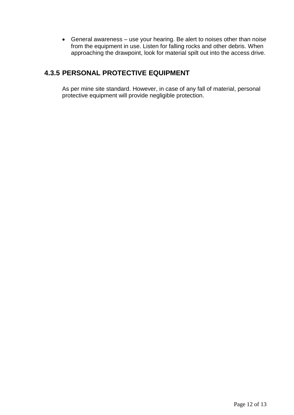General awareness – use your hearing. Be alert to noises other than noise from the equipment in use. Listen for falling rocks and other debris. When approaching the drawpoint, look for material spilt out into the access drive.

# <span id="page-11-0"></span>**4.3.5 PERSONAL PROTECTIVE EQUIPMENT**

As per mine site standard. However, in case of any fall of material, personal protective equipment will provide negligible protection.